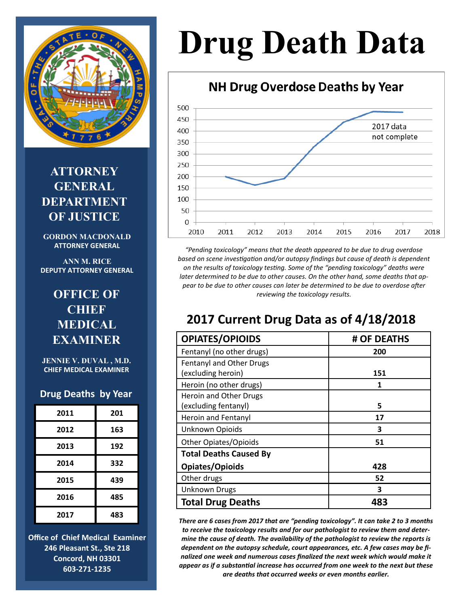

**ATTORNEY GENERAL DEPARTMENT OF JUSTICE** 

**GORDON MACDONALD ATTORNEY GENERAL**

**ANN M. RICE DEPUTY ATTORNEY GENERAL**

## **OFFICE OF CHIEF MEDICAL EXAMINER**

**JENNIE V. DUVAL , M.D. CHIEF MEDICAL EXAMINER**

#### **Drug Deaths by Year**

| 2011 | 201 |
|------|-----|
| 2012 | 163 |
| 2013 | 192 |
| 2014 | 332 |
| 2015 | 439 |
| 2016 | 485 |
| 2017 | 483 |

**Office of Chief Medical Examiner 246 Pleasant St., Ste 218 Concord, NH 03301 603-271-1235**

# **Drug Death Data**

## NH Drug Overdose Deaths by Year



*"Pending toxicology" means that the death appeared to be due to drug overdose based on scene investigation and/or autopsy findings but cause of death is dependent on the results of toxicology testing. Some of the "pending toxicology" deaths were later determined to be due to other causes. On the other hand, some deaths that appear to be due to other causes can later be determined to be due to overdose after reviewing the toxicology results.*

## **2017 Current Drug Data as of 4/18/2018**

| <b>OPIATES/OPIOIDS</b>        | # OF DEATHS |
|-------------------------------|-------------|
| Fentanyl (no other drugs)     | 200         |
| Fentanyl and Other Drugs      |             |
| (excluding heroin)            | 151         |
| Heroin (no other drugs)       | 1           |
| Heroin and Other Drugs        |             |
| (excluding fentanyl)          | 5           |
| Heroin and Fentanyl           | 17          |
| Unknown Opioids               | 3           |
| <b>Other Opiates/Opioids</b>  | 51          |
| <b>Total Deaths Caused By</b> |             |
| Opiates/Opioids               | 428         |
| Other drugs                   | 52          |
| <b>Unknown Drugs</b>          | 3           |
| <b>Total Drug Deaths</b>      | 483         |

*There are 6 cases from 2017 that are "pending toxicology". It can take 2 to 3 months to receive the toxicology results and for our pathologist to review them and determine the cause of death. The availability of the pathologist to review the reports is dependent on the autopsy schedule, court appearances, etc. A few cases may be finalized one week and numerous cases finalized the next week which would make it appear as if a substantial increase has occurred from one week to the next but these are deaths that occurred weeks or even months earlier.*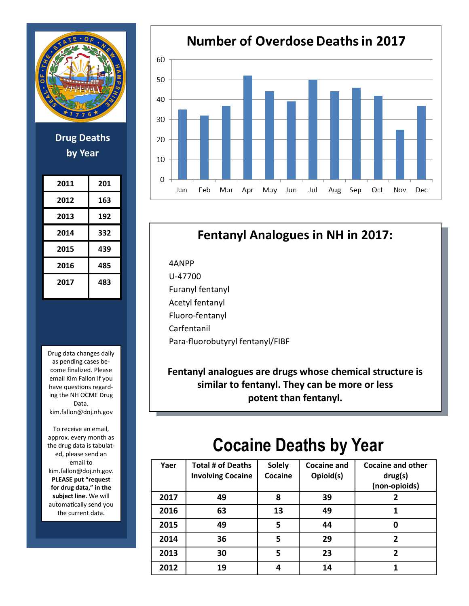

**Drug Deaths by Year**

| 2011 | 201 |
|------|-----|
| 2012 | 163 |
| 2013 | 192 |
| 2014 | 332 |
| 2015 | 439 |
| 2016 | 485 |
| 2017 | 483 |

Drug data changes daily as pending cases become finalized. Please email Kim Fallon if you have questions regarding the NH OCME Drug Data. kim.fallon@doj.nh.gov

To receive an email, approx. every month as the drug data is tabulated, please send an email to kim.fallon@doj.nh.gov. **PLEASE put "request for drug data," in the subject line.** We will automatically send you the current data.



## **Fentanyl Analogues in NH in 2017:**

4ANPP U-47700 Furanyl fentanyl Acetyl fentanyl Fluoro-fentanyl Carfentanil Para-fluorobutyryl fentanyl/FIBF

**Fentanyl analogues are drugs whose chemical structure is similar to fentanyl. They can be more or less potent than fentanyl.**

## **Cocaine Deaths by Year**

| Yaer | <b>Total # of Deaths</b><br><b>Involving Cocaine</b> | <b>Solely</b><br>Cocaine | <b>Cocaine and</b><br>Opioid(s) | <b>Cocaine and other</b><br>drug(s)<br>(non-opioids) |
|------|------------------------------------------------------|--------------------------|---------------------------------|------------------------------------------------------|
| 2017 | 49                                                   | 8                        | 39                              | 2                                                    |
| 2016 | 63                                                   | 13                       | 49                              |                                                      |
| 2015 | 49                                                   | 5                        | 44                              | 0                                                    |
| 2014 | 36                                                   | 5                        | 29                              | 2                                                    |
| 2013 | 30                                                   | 5                        | 23                              | 2                                                    |
| 2012 | 19                                                   | 4                        | 14                              |                                                      |